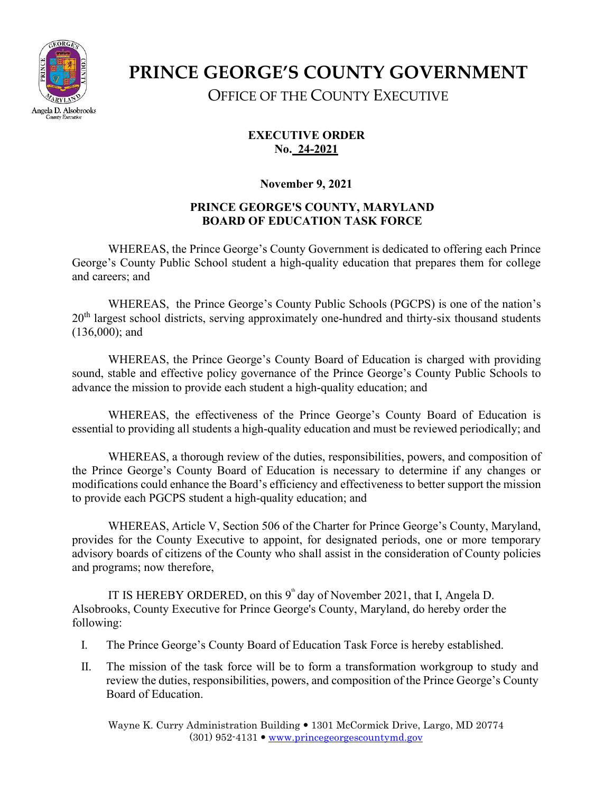

## **PRINCE GEORGE'S COUNTY GOVERNMENT** OFFICE OF THE COUNTY EXECUTIVE

**EXECUTIVE ORDER No. 24-2021**

**November 9, 2021**

## **PRINCE GEORGE'S COUNTY, MARYLAND BOARD OF EDUCATION TASK FORCE**

WHEREAS, the Prince George's County Government is dedicated to offering each Prince George's County Public School student a high-quality education that prepares them for college and careers; and

WHEREAS, the Prince George's County Public Schools (PGCPS) is one of the nation's  $20<sup>th</sup>$  largest school districts, serving approximately one-hundred and thirty-six thousand students (136,000); and

WHEREAS, the Prince George's County Board of Education is charged with providing sound, stable and effective policy governance of the Prince George's County Public Schools to advance the mission to provide each student a high-quality education; and

WHEREAS, the effectiveness of the Prince George's County Board of Education is essential to providing all students a high-quality education and must be reviewed periodically; and

WHEREAS, a thorough review of the duties, responsibilities, powers, and composition of the Prince George's County Board of Education is necessary to determine if any changes or modifications could enhance the Board's efficiency and effectiveness to better support the mission to provide each PGCPS student a high-quality education; and

WHEREAS, Article V, Section 506 of the Charter for Prince George's County, Maryland, provides for the County Executive to appoint, for designated periods, one or more temporary advisory boards of citizens of the County who shall assist in the consideration of County policies and programs; now therefore,

IT IS HEREBY ORDERED, on this  $9^{\text{th}}$  day of November 2021, that I, Angela D. Alsobrooks, County Executive for Prince George's County, Maryland, do hereby order the following:

- I. The Prince George's County Board of Education Task Force is hereby established.
- II. The mission of the task force will be to form a transformation workgroup to study and review the duties, responsibilities, powers, and composition of the Prince George's County Board of Education.

Wayne K. Curry Administration Building 1301 McCormick Drive, Largo, MD 20774  $(301)$  952-4131  $\bullet$  [www.princegeorgescountymd.gov](http://www.princegeorgescountymd.gov/)